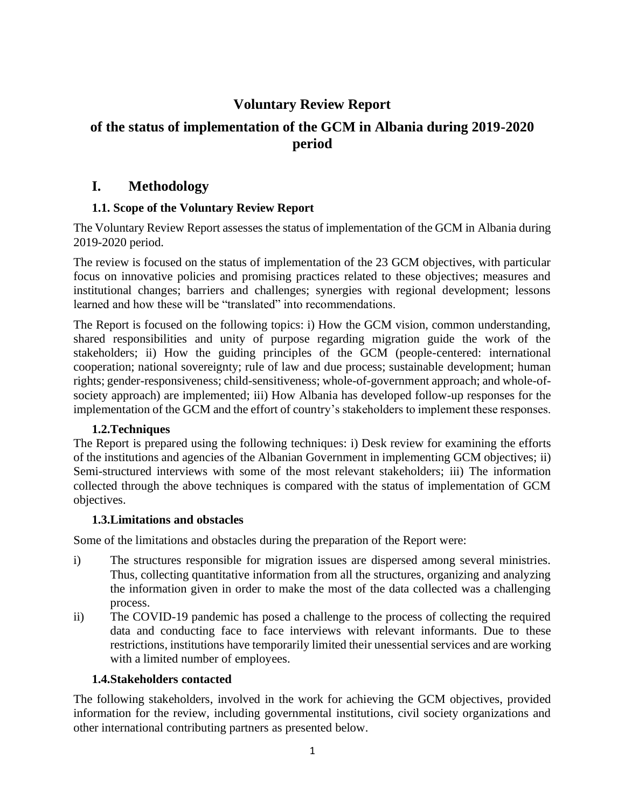# **Voluntary Review Report**

# **of the status of implementation of the GCM in Albania during 2019-2020 period**

## **I. Methodology**

## **1.1. Scope of the Voluntary Review Report**

The Voluntary Review Report assesses the status of implementation of the GCM in Albania during 2019-2020 period.

The review is focused on the status of implementation of the 23 GCM objectives, with particular focus on innovative policies and promising practices related to these objectives; measures and institutional changes; barriers and challenges; synergies with regional development; lessons learned and how these will be "translated" into recommendations.

The Report is focused on the following topics: i) How the GCM vision, common understanding, shared responsibilities and unity of purpose regarding migration guide the work of the stakeholders; ii) How the guiding principles of the GCM (people-centered: international cooperation; national sovereignty; rule of law and due process; sustainable development; human rights; gender-responsiveness; child-sensitiveness; whole-of-government approach; and whole-ofsociety approach) are implemented; iii) How Albania has developed follow-up responses for the implementation of the GCM and the effort of country's stakeholders to implement these responses.

## **1.2.Techniques**

The Report is prepared using the following techniques: i) Desk review for examining the efforts of the institutions and agencies of the Albanian Government in implementing GCM objectives; ii) Semi-structured interviews with some of the most relevant stakeholders; iii) The information collected through the above techniques is compared with the status of implementation of GCM objectives.

## **1.3.Limitations and obstacles**

Some of the limitations and obstacles during the preparation of the Report were:

- i) The structures responsible for migration issues are dispersed among several ministries. Thus, collecting quantitative information from all the structures, organizing and analyzing the information given in order to make the most of the data collected was a challenging process.
- ii) The COVID-19 pandemic has posed a challenge to the process of collecting the required data and conducting face to face interviews with relevant informants. Due to these restrictions, institutions have temporarily limited their unessential services and are working with a limited number of employees.

## **1.4.Stakeholders contacted**

The following stakeholders, involved in the work for achieving the GCM objectives, provided information for the review, including governmental institutions, civil society organizations and other international contributing partners as presented below.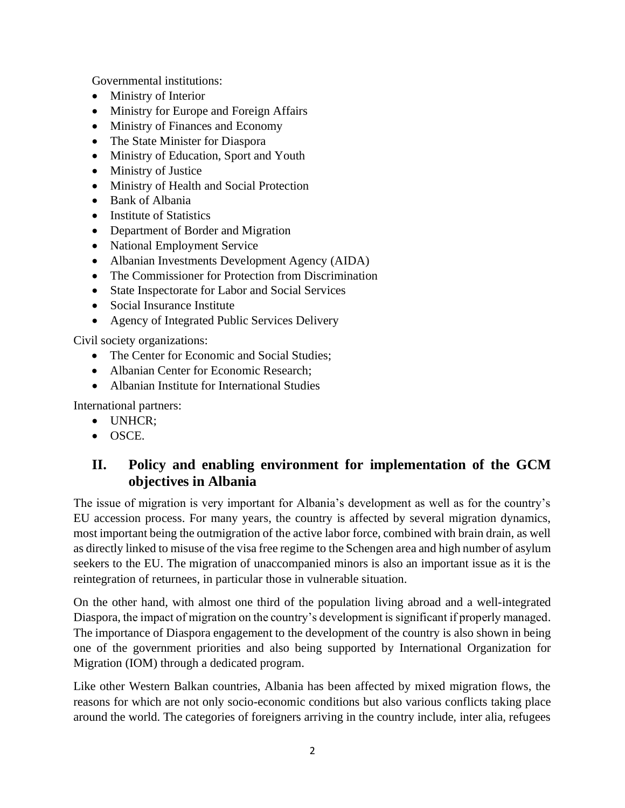Governmental institutions:

- Ministry of Interior
- Ministry for Europe and Foreign Affairs
- Ministry of Finances and Economy
- The State Minister for Diaspora
- Ministry of Education, Sport and Youth
- Ministry of Justice
- Ministry of Health and Social Protection
- Bank of Albania
- Institute of Statistics
- Department of Border and Migration
- National Employment Service
- Albanian Investments Development Agency (AIDA)
- The Commissioner for Protection from Discrimination
- State Inspectorate for Labor and Social Services
- Social Insurance Institute
- Agency of Integrated Public Services Delivery

Civil society organizations:

- The Center for Economic and Social Studies:
- Albanian Center for Economic Research:
- Albanian Institute for International Studies

International partners:

- UNHCR;
- OSCE.

## **II. Policy and enabling environment for implementation of the GCM objectives in Albania**

The issue of migration is very important for Albania's development as well as for the country's EU accession process. For many years, the country is affected by several migration dynamics, most important being the outmigration of the active labor force, combined with brain drain, as well as directly linked to misuse of the visa free regime to the Schengen area and high number of asylum seekers to the EU. The migration of unaccompanied minors is also an important issue as it is the reintegration of returnees, in particular those in vulnerable situation.

On the other hand, with almost one third of the population living abroad and a well-integrated Diaspora, the impact of migration on the country's development is significant if properly managed. The importance of Diaspora engagement to the development of the country is also shown in being one of the government priorities and also being supported by International Organization for Migration (IOM) through a dedicated program.

Like other Western Balkan countries, Albania has been affected by mixed migration flows, the reasons for which are not only socio-economic conditions but also various conflicts taking place around the world. The categories of foreigners arriving in the country include, inter alia, refugees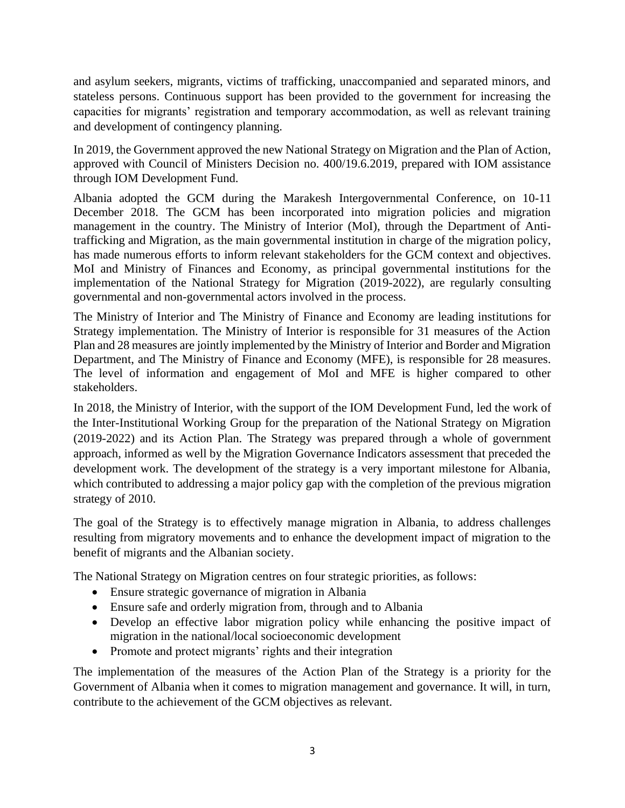and asylum seekers, migrants, victims of trafficking, unaccompanied and separated minors, and stateless persons. Continuous support has been provided to the government for increasing the capacities for migrants' registration and temporary accommodation, as well as relevant training and development of contingency planning.

In 2019, the Government approved the new National Strategy on Migration and the Plan of Action, approved with Council of Ministers Decision no. 400/19.6.2019, prepared with IOM assistance through IOM Development Fund.

Albania adopted the GCM during the Marakesh Intergovernmental Conference, on 10-11 December 2018. The GCM has been incorporated into migration policies and migration management in the country. The Ministry of Interior (MoI), through the Department of Antitrafficking and Migration, as the main governmental institution in charge of the migration policy, has made numerous efforts to inform relevant stakeholders for the GCM context and objectives. MoI and Ministry of Finances and Economy, as principal governmental institutions for the implementation of the National Strategy for Migration (2019-2022), are regularly consulting governmental and non-governmental actors involved in the process.

The Ministry of Interior and The Ministry of Finance and Economy are leading institutions for Strategy implementation. The Ministry of Interior is responsible for 31 measures of the Action Plan and 28 measures are jointly implemented by the Ministry of Interior and Border and Migration Department, and The Ministry of Finance and Economy (MFE), is responsible for 28 measures. The level of information and engagement of MoI and MFE is higher compared to other stakeholders.

In 2018, the Ministry of Interior, with the support of the IOM Development Fund, led the work of the Inter-Institutional Working Group for the preparation of the National Strategy on Migration (2019-2022) and its Action Plan. The Strategy was prepared through a whole of government approach, informed as well by the Migration Governance Indicators assessment that preceded the development work. The development of the strategy is a very important milestone for Albania, which contributed to addressing a major policy gap with the completion of the previous migration strategy of 2010.

The goal of the Strategy is to effectively manage migration in Albania, to address challenges resulting from migratory movements and to enhance the development impact of migration to the benefit of migrants and the Albanian society.

The National Strategy on Migration centres on four strategic priorities, as follows:

- Ensure strategic governance of migration in Albania
- Ensure safe and orderly migration from, through and to Albania
- Develop an effective labor migration policy while enhancing the positive impact of migration in the national/local socioeconomic development
- Promote and protect migrants' rights and their integration

The implementation of the measures of the Action Plan of the Strategy is a priority for the Government of Albania when it comes to migration management and governance. It will, in turn, contribute to the achievement of the GCM objectives as relevant.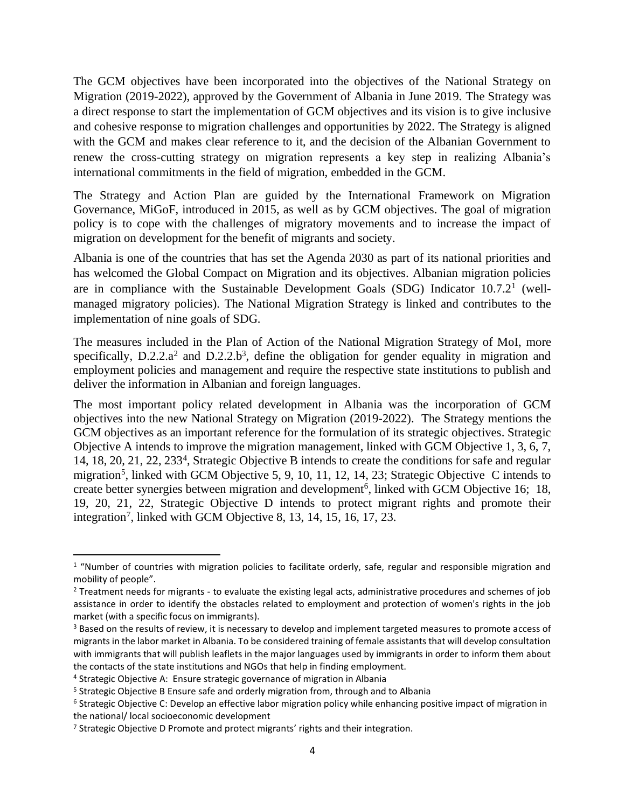The GCM objectives have been incorporated into the objectives of the National Strategy on Migration (2019-2022), approved by the Government of Albania in June 2019. The Strategy was a direct response to start the implementation of GCM objectives and its vision is to give inclusive and cohesive response to migration challenges and opportunities by 2022. The Strategy is aligned with the GCM and makes clear reference to it, and the decision of the Albanian Government to renew the cross-cutting strategy on migration represents a key step in realizing Albania's international commitments in the field of migration, embedded in the GCM.

The Strategy and Action Plan are guided by the International Framework on Migration Governance, MiGoF, introduced in 2015, as well as by GCM objectives. The goal of migration policy is to cope with the challenges of migratory movements and to increase the impact of migration on development for the benefit of migrants and society.

Albania is one of the countries that has set the Agenda 2030 as part of its national priorities and has welcomed the Global Compact on Migration and its objectives. Albanian migration policies are in compliance with the Sustainable Development Goals (SDG) Indicator  $10.7.2<sup>1</sup>$  (wellmanaged migratory policies). The National Migration Strategy is linked and contributes to the implementation of nine goals of SDG.

The measures included in the Plan of Action of the National Migration Strategy of MoI, more specifically,  $D.2.2.a^2$  and  $D.2.2.b^3$ , define the obligation for gender equality in migration and employment policies and management and require the respective state institutions to publish and deliver the information in Albanian and foreign languages.

The most important policy related development in Albania was the incorporation of GCM objectives into the new National Strategy on Migration (2019-2022). The Strategy mentions the GCM objectives as an important reference for the formulation of its strategic objectives. Strategic Objective A intends to improve the migration management, linked with GCM Objective 1, 3, 6, 7, 14, 18, 20, 21, 22, 233<sup>4</sup> , Strategic Objective B intends to create the conditions for safe and regular migration<sup>5</sup>, linked with GCM Objective 5, 9, 10, 11, 12, 14, 23; Strategic Objective C intends to create better synergies between migration and development<sup>6</sup>, linked with GCM Objective 16; 18, 19, 20, 21, 22, Strategic Objective D intends to protect migrant rights and promote their integration<sup>7</sup>, linked with GCM Objective 8, 13, 14, 15, 16, 17, 23.

<sup>&</sup>lt;sup>1</sup> "Number of countries with migration policies to facilitate orderly, safe, regular and responsible migration and mobility of people".

<sup>2</sup> Treatment needs for migrants - to evaluate the existing legal acts, administrative procedures and schemes of job assistance in order to identify the obstacles related to employment and protection of women's rights in the job market (with a specific focus on immigrants).

<sup>&</sup>lt;sup>3</sup> Based on the results of review, it is necessary to develop and implement targeted measures to promote access of migrants in the labor market in Albania. To be considered training of female assistants that will develop consultation with immigrants that will publish leaflets in the major languages used by immigrants in order to inform them about the contacts of the state institutions and NGOs that help in finding employment.

<sup>4</sup> Strategic Objective A: Ensure strategic governance of migration in Albania

<sup>&</sup>lt;sup>5</sup> Strategic Objective B Ensure safe and orderly migration from, through and to Albania

<sup>6</sup> Strategic Objective C: Develop an effective labor migration policy while enhancing positive impact of migration in the national/ local socioeconomic development

<sup>7</sup> Strategic Objective D Promote and protect migrants' rights and their integration.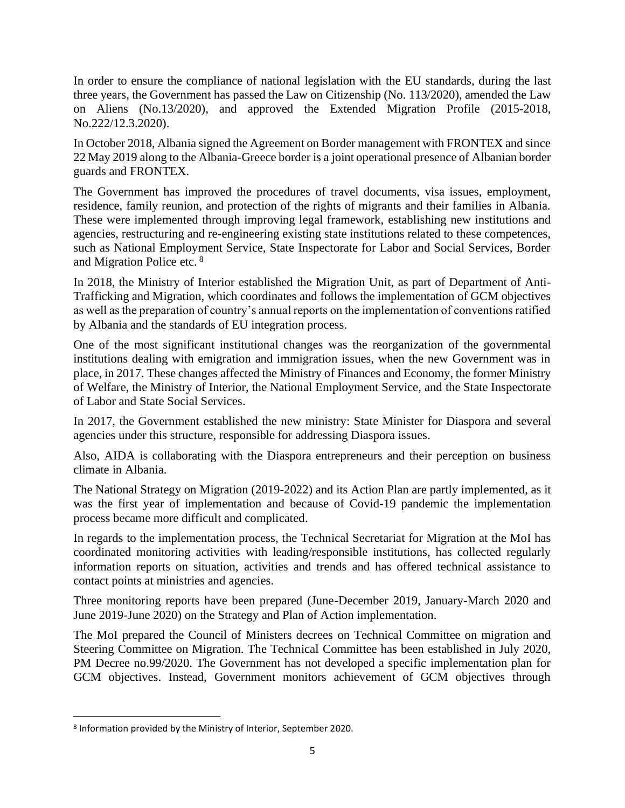In order to ensure the compliance of national legislation with the EU standards, during the last three years, the Government has passed the Law on Citizenship (No. 113/2020), amended the Law on Aliens (No.13/2020), and approved the Extended Migration Profile (2015-2018, No.222/12.3.2020).

In October 2018, Albania signed the Agreement on Border management with FRONTEX and since 22 May 2019 along to the Albania-Greece border is a joint operational presence of Albanian border guards and FRONTEX.

The Government has improved the procedures of travel documents, visa issues, employment, residence, family reunion, and protection of the rights of migrants and their families in Albania. These were implemented through improving legal framework, establishing new institutions and agencies, restructuring and re-engineering existing state institutions related to these competences, such as National Employment Service, State Inspectorate for Labor and Social Services, Border and Migration Police etc. <sup>8</sup>

In 2018, the Ministry of Interior established the Migration Unit, as part of Department of Anti-Trafficking and Migration, which coordinates and follows the implementation of GCM objectives as well as the preparation of country's annual reports on the implementation of conventions ratified by Albania and the standards of EU integration process.

One of the most significant institutional changes was the reorganization of the governmental institutions dealing with emigration and immigration issues, when the new Government was in place, in 2017. These changes affected the Ministry of Finances and Economy, the former Ministry of Welfare, the Ministry of Interior, the National Employment Service, and the State Inspectorate of Labor and State Social Services.

In 2017, the Government established the new ministry: State Minister for Diaspora and several agencies under this structure, responsible for addressing Diaspora issues.

Also, AIDA is collaborating with the Diaspora entrepreneurs and their perception on business climate in Albania.

The National Strategy on Migration (2019-2022) and its Action Plan are partly implemented, as it was the first year of implementation and because of Covid-19 pandemic the implementation process became more difficult and complicated.

In regards to the implementation process, the Technical Secretariat for Migration at the MoI has coordinated monitoring activities with leading/responsible institutions, has collected regularly information reports on situation, activities and trends and has offered technical assistance to contact points at ministries and agencies.

Three monitoring reports have been prepared (June-December 2019, January-March 2020 and June 2019-June 2020) on the Strategy and Plan of Action implementation.

The MoI prepared the Council of Ministers decrees on Technical Committee on migration and Steering Committee on Migration. The Technical Committee has been established in July 2020, PM Decree no.99/2020. The Government has not developed a specific implementation plan for GCM objectives. Instead, Government monitors achievement of GCM objectives through

<sup>8</sup> Information provided by the Ministry of Interior, September 2020.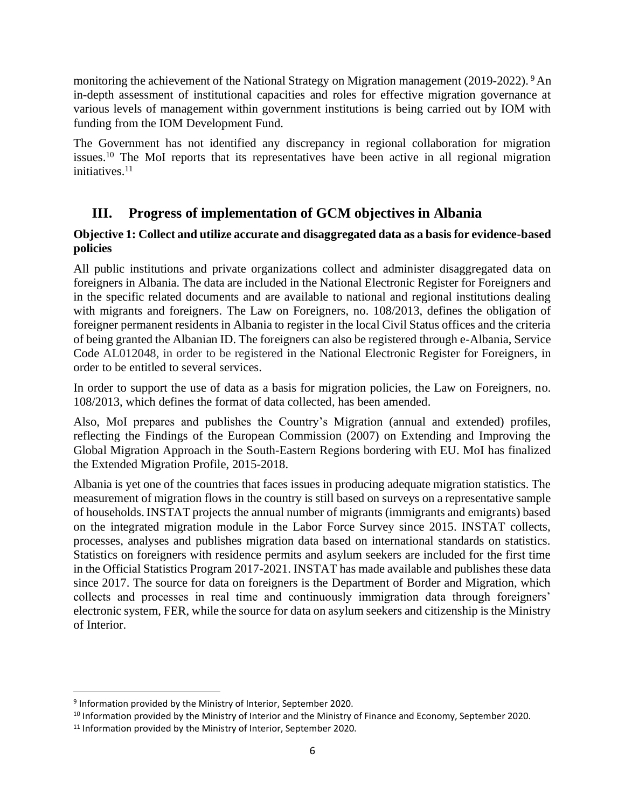monitoring the achievement of the National Strategy on Migration management (2019-2022). <sup>9</sup> An in-depth assessment of institutional capacities and roles for effective migration governance at various levels of management within government institutions is being carried out by IOM with funding from the IOM Development Fund.

The Government has not identified any discrepancy in regional collaboration for migration issues.<sup>10</sup> The MoI reports that its representatives have been active in all regional migration initiatives. $11$ 

## **III. Progress of implementation of GCM objectives in Albania**

## **Objective 1: Collect and utilize accurate and disaggregated data as a basis for evidence-based policies**

All public institutions and private organizations collect and administer disaggregated data on foreigners in Albania. The data are included in the National Electronic Register for Foreigners and in the specific related documents and are available to national and regional institutions dealing with migrants and foreigners. The Law on Foreigners, no. 108/2013, defines the obligation of foreigner permanent residents in Albania to register in the local Civil Status offices and the criteria of being granted the Albanian ID. The foreigners can also be registered through e-Albania, Service Code AL012048, in order to be registered in the National Electronic Register for Foreigners, in order to be entitled to several services.

In order to support the use of data as a basis for migration policies, the Law on Foreigners, no. 108/2013, which defines the format of data collected, has been amended.

Also, MoI prepares and publishes the Country's Migration (annual and extended) profiles, reflecting the Findings of the European Commission (2007) on Extending and Improving the Global Migration Approach in the South-Eastern Regions bordering with EU. MoI has finalized the Extended Migration Profile, 2015-2018.

Albania is yet one of the countries that faces issues in producing adequate migration statistics. The measurement of migration flows in the country is still based on surveys on a representative sample of households. INSTAT projects the annual number of migrants (immigrants and emigrants) based on the integrated migration module in the Labor Force Survey since 2015. INSTAT collects, processes, analyses and publishes migration data based on international standards on statistics. Statistics on foreigners with residence permits and asylum seekers are included for the first time in the Official Statistics Program 2017-2021. INSTAT has made available and publishes these data since 2017. The source for data on foreigners is the Department of Border and Migration, which collects and processes in real time and continuously immigration data through foreigners' electronic system, FER, while the source for data on asylum seekers and citizenship is the Ministry of Interior.

<sup>9</sup> Information provided by the Ministry of Interior, September 2020.

<sup>&</sup>lt;sup>10</sup> Information provided by the Ministry of Interior and the Ministry of Finance and Economy, September 2020.

<sup>&</sup>lt;sup>11</sup> Information provided by the Ministry of Interior, September 2020.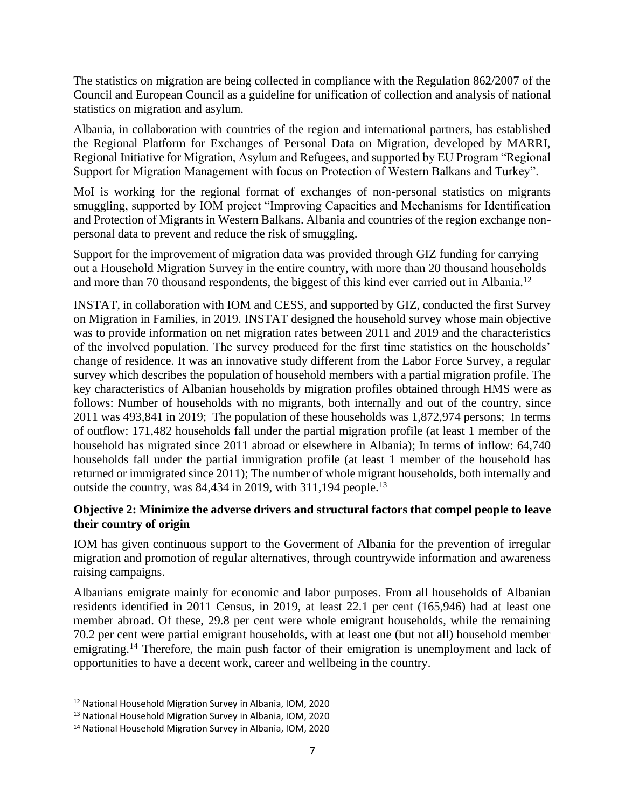The statistics on migration are being collected in compliance with the Regulation 862/2007 of the Council and European Council as a guideline for unification of collection and analysis of national statistics on migration and asylum.

Albania, in collaboration with countries of the region and international partners, has established the Regional Platform for Exchanges of Personal Data on Migration, developed by MARRI, Regional Initiative for Migration, Asylum and Refugees, and supported by EU Program "Regional Support for Migration Management with focus on Protection of Western Balkans and Turkey".

MoI is working for the regional format of exchanges of non-personal statistics on migrants smuggling, supported by IOM project "Improving Capacities and Mechanisms for Identification and Protection of Migrants in Western Balkans. Albania and countries of the region exchange nonpersonal data to prevent and reduce the risk of smuggling.

Support for the improvement of migration data was provided through GIZ funding for carrying out a Household Migration Survey in the entire country, with more than 20 thousand households and more than 70 thousand respondents, the biggest of this kind ever carried out in Albania.<sup>12</sup>

INSTAT, in collaboration with IOM and CESS, and supported by GIZ, conducted the first Survey on Migration in Families, in 2019. INSTAT designed the household survey whose main objective was to provide information on net migration rates between 2011 and 2019 and the characteristics of the involved population. The survey produced for the first time statistics on the households' change of residence. It was an innovative study different from the Labor Force Survey, a regular survey which describes the population of household members with a partial migration profile. The key characteristics of Albanian households by migration profiles obtained through HMS were as follows: Number of households with no migrants, both internally and out of the country, since 2011 was 493,841 in 2019; The population of these households was 1,872,974 persons; In terms of outflow: 171,482 households fall under the partial migration profile (at least 1 member of the household has migrated since 2011 abroad or elsewhere in Albania); In terms of inflow: 64,740 households fall under the partial immigration profile (at least 1 member of the household has returned or immigrated since 2011); The number of whole migrant households, both internally and outside the country, was 84,434 in 2019, with 311,194 people.<sup>13</sup>

## **Objective 2: Minimize the adverse drivers and structural factors that compel people to leave their country of origin**

IOM has given continuous support to the Goverment of Albania for the prevention of irregular migration and promotion of regular alternatives, through countrywide information and awareness raising campaigns.

Albanians emigrate mainly for economic and labor purposes. From all households of Albanian residents identified in 2011 Census, in 2019, at least 22.1 per cent (165,946) had at least one member abroad. Of these, 29.8 per cent were whole emigrant households, while the remaining 70.2 per cent were partial emigrant households, with at least one (but not all) household member emigrating.<sup>14</sup> Therefore, the main push factor of their emigration is unemployment and lack of opportunities to have a decent work, career and wellbeing in the country.

<sup>12</sup> National Household Migration Survey in Albania, IOM, 2020

<sup>13</sup> National Household Migration Survey in Albania, IOM, 2020

<sup>14</sup> National Household Migration Survey in Albania, IOM, 2020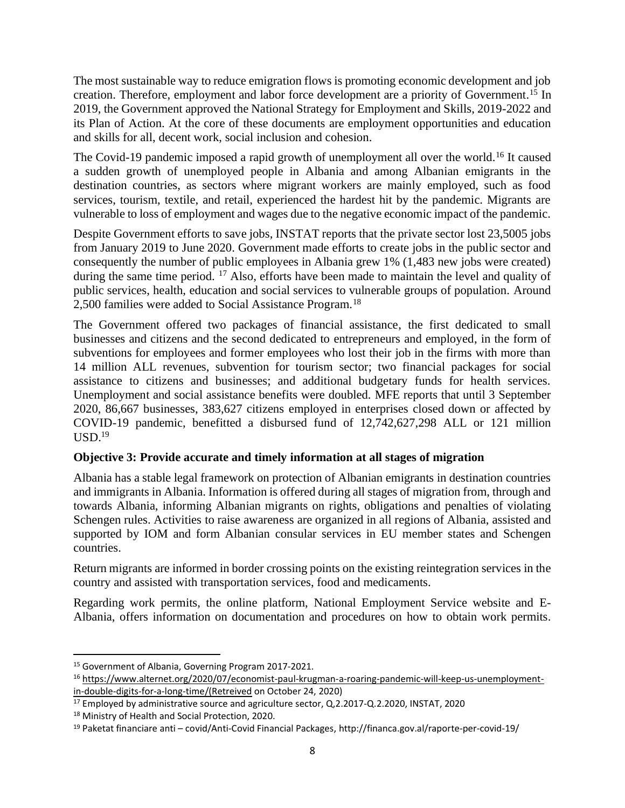The most sustainable way to reduce emigration flows is promoting economic development and job creation. Therefore, employment and labor force development are a priority of Government. <sup>15</sup> In 2019, the Government approved the National Strategy for Employment and Skills, 2019-2022 and its Plan of Action. At the core of these documents are employment opportunities and education and skills for all, decent work, social inclusion and cohesion.

The Covid-19 pandemic imposed a rapid growth of unemployment all over the world.<sup>16</sup> It caused a sudden growth of unemployed people in Albania and among Albanian emigrants in the destination countries, as sectors where migrant workers are mainly employed, such as food services, tourism, textile, and retail, experienced the hardest hit by the pandemic. Migrants are vulnerable to loss of employment and wages due to the negative economic impact of the pandemic.

Despite Government efforts to save jobs, INSTAT reports that the private sector lost 23,5005 jobs from January 2019 to June 2020. Government made efforts to create jobs in the public sector and consequently the number of public employees in Albania grew 1% (1,483 new jobs were created) during the same time period. <sup>17</sup> Also, efforts have been made to maintain the level and quality of public services, health, education and social services to vulnerable groups of population. Around 2,500 families were added to Social Assistance Program.<sup>18</sup>

The Government offered two packages of financial assistance, the first dedicated to small businesses and citizens and the second dedicated to entrepreneurs and employed, in the form of subventions for employees and former employees who lost their job in the firms with more than 14 million ALL revenues, subvention for tourism sector; two financial packages for social assistance to citizens and businesses; and additional budgetary funds for health services. Unemployment and social assistance benefits were doubled. MFE reports that until 3 September 2020, 86,667 businesses, 383,627 citizens employed in enterprises closed down or affected by COVID-19 pandemic, benefitted a disbursed fund of 12,742,627,298 ALL or 121 million  $USD.<sup>19</sup>$ 

## **Objective 3: Provide accurate and timely information at all stages of migration**

Albania has a stable legal framework on protection of Albanian emigrants in destination countries and immigrants in Albania. Information is offered during all stages of migration from, through and towards Albania, informing Albanian migrants on rights, obligations and penalties of violating Schengen rules. Activities to raise awareness are organized in all regions of Albania, assisted and supported by IOM and form Albanian consular services in EU member states and Schengen countries.

Return migrants are informed in border crossing points on the existing reintegration services in the country and assisted with transportation services, food and medicaments.

Regarding work permits, the online platform, National Employment Service website and E-Albania, offers information on documentation and procedures on how to obtain work permits.

<sup>15</sup> Government of Albania, Governing Program 2017-2021.

<sup>16</sup> [https://www.alternet.org/2020/07/economist-paul-krugman-a-roaring-pandemic-will-keep-us-unemployment](https://www.alternet.org/2020/07/economist-paul-krugman-a-roaring-pandemic-will-keep-us-unemployment-in-double-digits-for-a-long-time/(Retreived)[in-double-digits-for-a-long-time/\(Retreived](https://www.alternet.org/2020/07/economist-paul-krugman-a-roaring-pandemic-will-keep-us-unemployment-in-double-digits-for-a-long-time/(Retreived) on October 24, 2020)

<sup>17</sup> Employed by administrative source and agriculture sector, Q,2.2017-Q.2.2020, INSTAT, 2020

<sup>18</sup> Ministry of Health and Social Protection, 2020.

<sup>19</sup> Paketat financiare anti – covid/Anti-Covid Financial Packages, http://financa.gov.al/raporte-per-covid-19/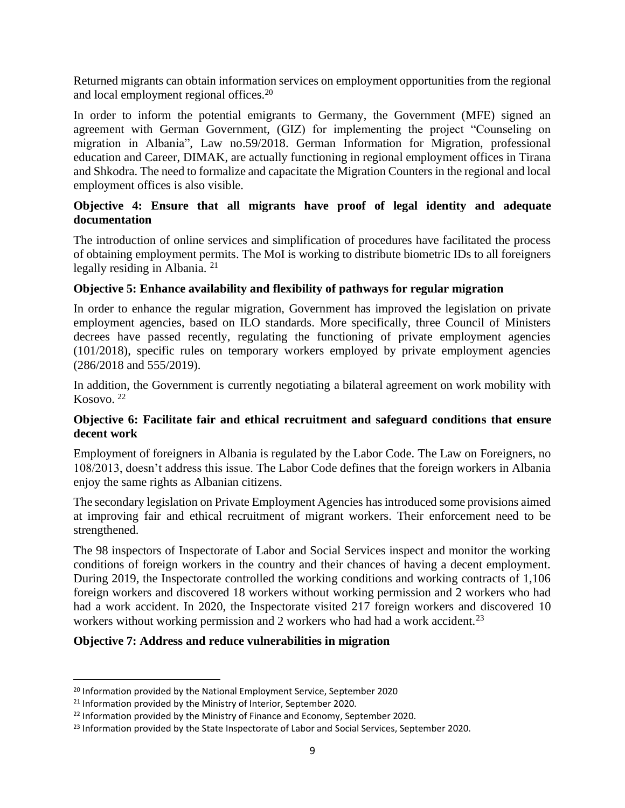Returned migrants can obtain information services on employment opportunities from the regional and local employment regional offices.<sup>20</sup>

In order to inform the potential emigrants to Germany, the Government (MFE) signed an agreement with German Government, (GIZ) for implementing the project "Counseling on migration in Albania", Law no.59/2018. German Information for Migration, professional education and Career, DIMAK, are actually functioning in regional employment offices in Tirana and Shkodra. The need to formalize and capacitate the Migration Counters in the regional and local employment offices is also visible.

#### **Objective 4: Ensure that all migrants have proof of legal identity and adequate documentation**

The introduction of online services and simplification of procedures have facilitated the process of obtaining employment permits. The MoI is working to distribute biometric IDs to all foreigners legally residing in Albania.<sup>21</sup>

## **Objective 5: Enhance availability and flexibility of pathways for regular migration**

In order to enhance the regular migration, Government has improved the legislation on private employment agencies, based on ILO standards. More specifically, three Council of Ministers decrees have passed recently, regulating the functioning of private employment agencies (101/2018), specific rules on temporary workers employed by private employment agencies (286/2018 and 555/2019).

In addition, the Government is currently negotiating a bilateral agreement on work mobility with Kosovo. <sup>22</sup>

#### **Objective 6: Facilitate fair and ethical recruitment and safeguard conditions that ensure decent work**

Employment of foreigners in Albania is regulated by the Labor Code. The Law on Foreigners, no 108/2013, doesn't address this issue. The Labor Code defines that the foreign workers in Albania enjoy the same rights as Albanian citizens.

The secondary legislation on Private Employment Agencies has introduced some provisions aimed at improving fair and ethical recruitment of migrant workers. Their enforcement need to be strengthened.

The 98 inspectors of Inspectorate of Labor and Social Services inspect and monitor the working conditions of foreign workers in the country and their chances of having a decent employment. During 2019, the Inspectorate controlled the working conditions and working contracts of 1,106 foreign workers and discovered 18 workers without working permission and 2 workers who had had a work accident. In 2020, the Inspectorate visited 217 foreign workers and discovered 10 workers without working permission and 2 workers who had had a work accident.<sup>23</sup>

#### **Objective 7: Address and reduce vulnerabilities in migration**

<sup>&</sup>lt;sup>20</sup> Information provided by the National Employment Service, September 2020

<sup>&</sup>lt;sup>21</sup> Information provided by the Ministry of Interior, September 2020.

 $22$  Information provided by the Ministry of Finance and Economy, September 2020.

<sup>&</sup>lt;sup>23</sup> Information provided by the State Inspectorate of Labor and Social Services, September 2020.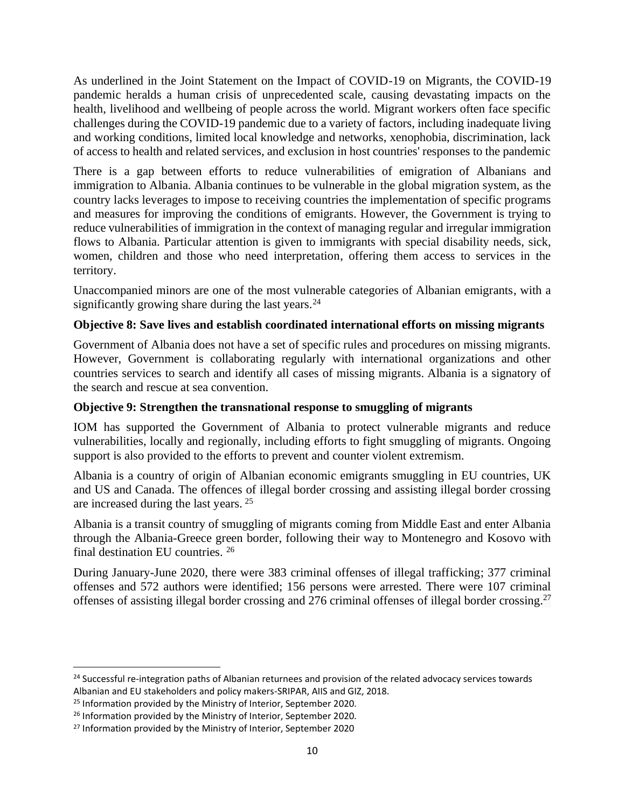As underlined in the Joint Statement on the Impact of COVID-19 on Migrants, the COVID-19 pandemic heralds a human crisis of unprecedented scale, causing devastating impacts on the health, livelihood and wellbeing of people across the world. Migrant workers often face specific challenges during the COVID-19 pandemic due to a variety of factors, including inadequate living and working conditions, limited local knowledge and networks, xenophobia, discrimination, lack of access to health and related services, and exclusion in host countries' responses to the pandemic

There is a gap between efforts to reduce vulnerabilities of emigration of Albanians and immigration to Albania. Albania continues to be vulnerable in the global migration system, as the country lacks leverages to impose to receiving countries the implementation of specific programs and measures for improving the conditions of emigrants. However, the Government is trying to reduce vulnerabilities of immigration in the context of managing regular and irregular immigration flows to Albania. Particular attention is given to immigrants with special disability needs, sick, women, children and those who need interpretation, offering them access to services in the territory.

Unaccompanied minors are one of the most vulnerable categories of Albanian emigrants, with a significantly growing share during the last years.<sup>24</sup>

## **Objective 8: Save lives and establish coordinated international efforts on missing migrants**

Government of Albania does not have a set of specific rules and procedures on missing migrants. However, Government is collaborating regularly with international organizations and other countries services to search and identify all cases of missing migrants. Albania is a signatory of the search and rescue at sea convention.

#### **Objective 9: Strengthen the transnational response to smuggling of migrants**

IOM has supported the Government of Albania to protect vulnerable migrants and reduce vulnerabilities, locally and regionally, including efforts to fight smuggling of migrants. Ongoing support is also provided to the efforts to prevent and counter violent extremism.

Albania is a country of origin of Albanian economic emigrants smuggling in EU countries, UK and US and Canada. The offences of illegal border crossing and assisting illegal border crossing are increased during the last years. <sup>25</sup>

Albania is a transit country of smuggling of migrants coming from Middle East and enter Albania through the Albania-Greece green border, following their way to Montenegro and Kosovo with final destination EU countries. <sup>26</sup>

During January-June 2020, there were 383 criminal offenses of illegal trafficking; 377 criminal offenses and 572 authors were identified; 156 persons were arrested. There were 107 criminal offenses of assisting illegal border crossing and 276 criminal offenses of illegal border crossing. 27

<sup>&</sup>lt;sup>24</sup> Successful re-integration paths of Albanian returnees and provision of the related advocacy services towards Albanian and EU stakeholders and policy makers-SRIPAR, AIIS and GIZ, 2018.

<sup>&</sup>lt;sup>25</sup> Information provided by the Ministry of Interior, September 2020.

<sup>&</sup>lt;sup>26</sup> Information provided by the Ministry of Interior, September 2020.

<sup>&</sup>lt;sup>27</sup> Information provided by the Ministry of Interior, September 2020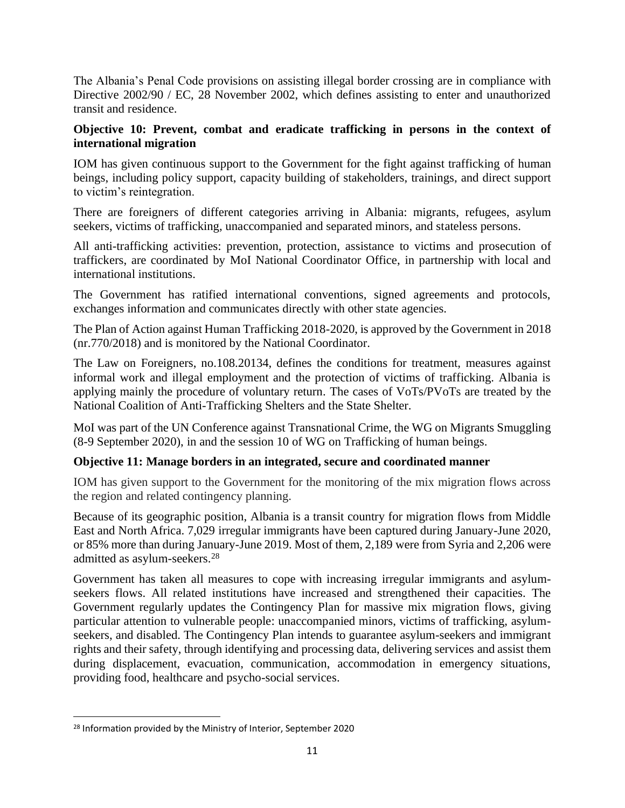The Albania's Penal Code provisions on assisting illegal border crossing are in compliance with Directive 2002/90 / EC, 28 November 2002, which defines assisting to enter and unauthorized transit and residence.

## **Objective 10: Prevent, combat and eradicate trafficking in persons in the context of international migration**

IOM has given continuous support to the Government for the fight against trafficking of human beings, including policy support, capacity building of stakeholders, trainings, and direct support to victim's reintegration.

There are foreigners of different categories arriving in Albania: migrants, refugees, asylum seekers, victims of trafficking, unaccompanied and separated minors, and stateless persons.

All anti-trafficking activities: prevention, protection, assistance to victims and prosecution of traffickers, are coordinated by MoI National Coordinator Office, in partnership with local and international institutions.

The Government has ratified international conventions, signed agreements and protocols, exchanges information and communicates directly with other state agencies.

The Plan of Action against Human Trafficking 2018-2020, is approved by the Government in 2018 (nr.770/2018) and is monitored by the National Coordinator.

The Law on Foreigners, no.108.20134, defines the conditions for treatment, measures against informal work and illegal employment and the protection of victims of trafficking. Albania is applying mainly the procedure of voluntary return. The cases of VoTs/PVoTs are treated by the National Coalition of Anti-Trafficking Shelters and the State Shelter.

MoI was part of the UN Conference against Transnational Crime, the WG on Migrants Smuggling (8-9 September 2020), in and the session 10 of WG on Trafficking of human beings.

## **Objective 11: Manage borders in an integrated, secure and coordinated manner**

IOM has given support to the Government for the monitoring of the mix migration flows across the region and related contingency planning.

Because of its geographic position, Albania is a transit country for migration flows from Middle East and North Africa. 7,029 irregular immigrants have been captured during January-June 2020, or 85% more than during January-June 2019. Most of them, 2,189 were from Syria and 2,206 were admitted as asylum-seekers.<sup>28</sup>

Government has taken all measures to cope with increasing irregular immigrants and asylumseekers flows. All related institutions have increased and strengthened their capacities. The Government regularly updates the Contingency Plan for massive mix migration flows, giving particular attention to vulnerable people: unaccompanied minors, victims of trafficking, asylumseekers, and disabled. The Contingency Plan intends to guarantee asylum-seekers and immigrant rights and their safety, through identifying and processing data, delivering services and assist them during displacement, evacuation, communication, accommodation in emergency situations, providing food, healthcare and psycho-social services.

<sup>&</sup>lt;sup>28</sup> Information provided by the Ministry of Interior, September 2020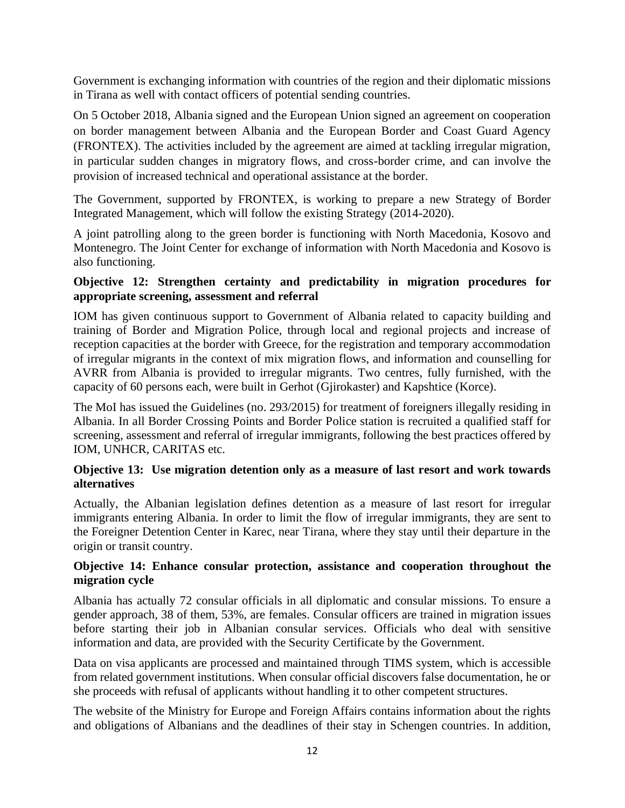Government is exchanging information with countries of the region and their diplomatic missions in Tirana as well with contact officers of potential sending countries.

On 5 October 2018, Albania signed and the European Union signed an agreement on cooperation on border management between Albania and the European Border and Coast Guard Agency (FRONTEX). The activities included by the agreement are aimed at tackling irregular migration, in particular sudden changes in migratory flows, and cross-border crime, and can involve the provision of increased technical and operational assistance at the border.

The Government, supported by FRONTEX, is working to prepare a new Strategy of Border Integrated Management, which will follow the existing Strategy (2014-2020).

A joint patrolling along to the green border is functioning with North Macedonia, Kosovo and Montenegro. The Joint Center for exchange of information with North Macedonia and Kosovo is also functioning.

#### **Objective 12: Strengthen certainty and predictability in migration procedures for appropriate screening, assessment and referral**

IOM has given continuous support to Government of Albania related to capacity building and training of Border and Migration Police, through local and regional projects and increase of reception capacities at the border with Greece, for the registration and temporary accommodation of irregular migrants in the context of mix migration flows, and information and counselling for AVRR from Albania is provided to irregular migrants. Two centres, fully furnished, with the capacity of 60 persons each, were built in Gerhot (Gjirokaster) and Kapshtice (Korce).

The MoI has issued the Guidelines (no. 293/2015) for treatment of foreigners illegally residing in Albania. In all Border Crossing Points and Border Police station is recruited a qualified staff for screening, assessment and referral of irregular immigrants, following the best practices offered by IOM, UNHCR, CARITAS etc.

#### **Objective 13: Use migration detention only as a measure of last resort and work towards alternatives**

Actually, the Albanian legislation defines detention as a measure of last resort for irregular immigrants entering Albania. In order to limit the flow of irregular immigrants, they are sent to the Foreigner Detention Center in Karec, near Tirana, where they stay until their departure in the origin or transit country.

## **Objective 14: Enhance consular protection, assistance and cooperation throughout the migration cycle**

Albania has actually 72 consular officials in all diplomatic and consular missions. To ensure a gender approach, 38 of them, 53%, are females. Consular officers are trained in migration issues before starting their job in Albanian consular services. Officials who deal with sensitive information and data, are provided with the Security Certificate by the Government.

Data on visa applicants are processed and maintained through TIMS system, which is accessible from related government institutions. When consular official discovers false documentation, he or she proceeds with refusal of applicants without handling it to other competent structures.

The website of the Ministry for Europe and Foreign Affairs contains information about the rights and obligations of Albanians and the deadlines of their stay in Schengen countries. In addition,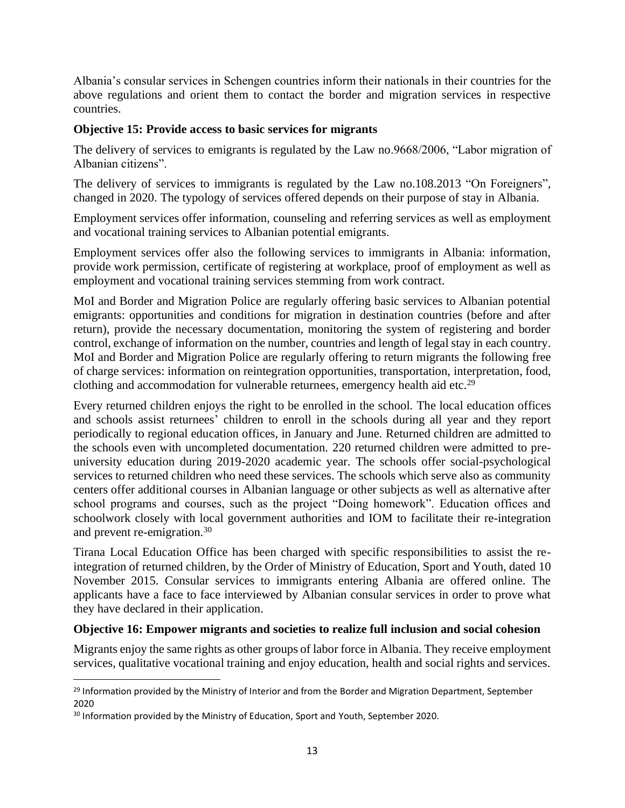Albania's consular services in Schengen countries inform their nationals in their countries for the above regulations and orient them to contact the border and migration services in respective countries.

#### **Objective 15: Provide access to basic services for migrants**

The delivery of services to emigrants is regulated by the Law no.9668/2006, "Labor migration of Albanian citizens".

The delivery of services to immigrants is regulated by the Law no.108.2013 "On Foreigners", changed in 2020. The typology of services offered depends on their purpose of stay in Albania.

Employment services offer information, counseling and referring services as well as employment and vocational training services to Albanian potential emigrants.

Employment services offer also the following services to immigrants in Albania: information, provide work permission, certificate of registering at workplace, proof of employment as well as employment and vocational training services stemming from work contract.

MoI and Border and Migration Police are regularly offering basic services to Albanian potential emigrants: opportunities and conditions for migration in destination countries (before and after return), provide the necessary documentation, monitoring the system of registering and border control, exchange of information on the number, countries and length of legal stay in each country. MoI and Border and Migration Police are regularly offering to return migrants the following free of charge services: information on reintegration opportunities, transportation, interpretation, food, clothing and accommodation for vulnerable returnees, emergency health aid etc.<sup>29</sup>

Every returned children enjoys the right to be enrolled in the school. The local education offices and schools assist returnees' children to enroll in the schools during all year and they report periodically to regional education offices, in January and June. Returned children are admitted to the schools even with uncompleted documentation. 220 returned children were admitted to preuniversity education during 2019-2020 academic year. The schools offer social-psychological services to returned children who need these services. The schools which serve also as community centers offer additional courses in Albanian language or other subjects as well as alternative after school programs and courses, such as the project "Doing homework". Education offices and schoolwork closely with local government authorities and IOM to facilitate their re-integration and prevent re-emigration.<sup>30</sup>

Tirana Local Education Office has been charged with specific responsibilities to assist the reintegration of returned children, by the Order of Ministry of Education, Sport and Youth, dated 10 November 2015. Consular services to immigrants entering Albania are offered online. The applicants have a face to face interviewed by Albanian consular services in order to prove what they have declared in their application.

## **Objective 16: Empower migrants and societies to realize full inclusion and social cohesion**

Migrants enjoy the same rights as other groups of labor force in Albania. They receive employment services, qualitative vocational training and enjoy education, health and social rights and services.

<sup>&</sup>lt;sup>29</sup> Information provided by the Ministry of Interior and from the Border and Migration Department, September 2020

<sup>&</sup>lt;sup>30</sup> Information provided by the Ministry of Education, Sport and Youth, September 2020.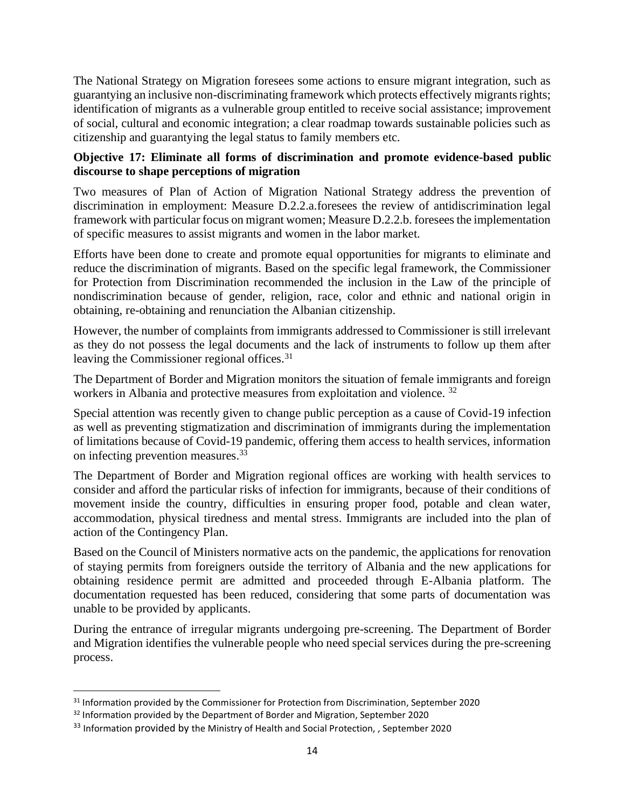The National Strategy on Migration foresees some actions to ensure migrant integration, such as guarantying an inclusive non-discriminating framework which protects effectively migrants rights; identification of migrants as a vulnerable group entitled to receive social assistance; improvement of social, cultural and economic integration; a clear roadmap towards sustainable policies such as citizenship and guarantying the legal status to family members etc.

## **Objective 17: Eliminate all forms of discrimination and promote evidence-based public discourse to shape perceptions of migration**

Two measures of Plan of Action of Migration National Strategy address the prevention of discrimination in employment: Measure D.2.2.a.foresees the review of antidiscrimination legal framework with particular focus on migrant women; Measure D.2.2.b. foresees the implementation of specific measures to assist migrants and women in the labor market.

Efforts have been done to create and promote equal opportunities for migrants to eliminate and reduce the discrimination of migrants. Based on the specific legal framework, the Commissioner for Protection from Discrimination recommended the inclusion in the Law of the principle of nondiscrimination because of gender, religion, race, color and ethnic and national origin in obtaining, re-obtaining and renunciation the Albanian citizenship.

However, the number of complaints from immigrants addressed to Commissioner is still irrelevant as they do not possess the legal documents and the lack of instruments to follow up them after leaving the Commissioner regional offices.<sup>31</sup>

The Department of Border and Migration monitors the situation of female immigrants and foreign workers in Albania and protective measures from exploitation and violence. <sup>32</sup>

Special attention was recently given to change public perception as a cause of Covid-19 infection as well as preventing stigmatization and discrimination of immigrants during the implementation of limitations because of Covid-19 pandemic, offering them access to health services, information on infecting prevention measures.<sup>33</sup>

The Department of Border and Migration regional offices are working with health services to consider and afford the particular risks of infection for immigrants, because of their conditions of movement inside the country, difficulties in ensuring proper food, potable and clean water, accommodation, physical tiredness and mental stress. Immigrants are included into the plan of action of the Contingency Plan.

Based on the Council of Ministers normative acts on the pandemic, the applications for renovation of staying permits from foreigners outside the territory of Albania and the new applications for obtaining residence permit are admitted and proceeded through E-Albania platform. The documentation requested has been reduced, considering that some parts of documentation was unable to be provided by applicants.

During the entrance of irregular migrants undergoing pre-screening. The Department of Border and Migration identifies the vulnerable people who need special services during the pre-screening process.

<sup>&</sup>lt;sup>31</sup> Information provided by the Commissioner for Protection from Discrimination, September 2020

<sup>&</sup>lt;sup>32</sup> Information provided by the Department of Border and Migration, September 2020

<sup>&</sup>lt;sup>33</sup> Information provided by the Ministry of Health and Social Protection, , September 2020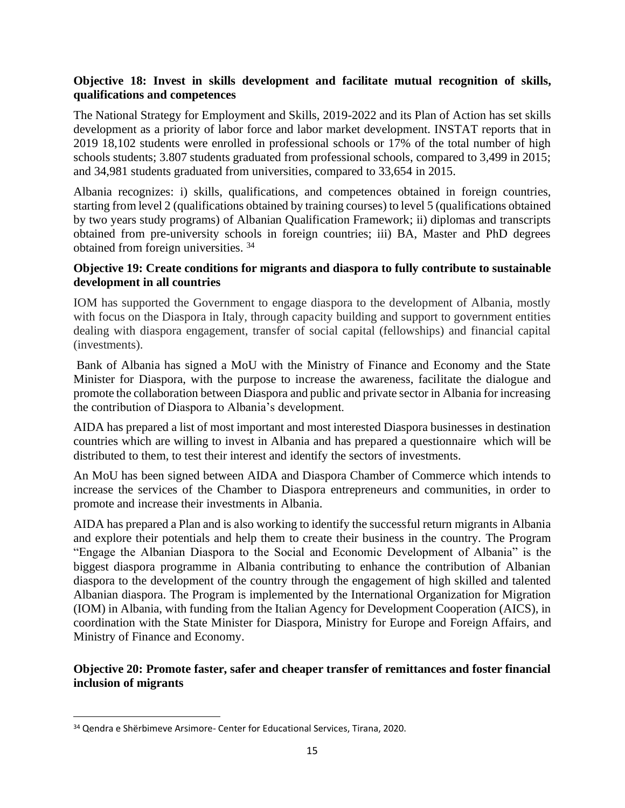#### **Objective 18: Invest in skills development and facilitate mutual recognition of skills, qualifications and competences**

The National Strategy for Employment and Skills, 2019-2022 and its Plan of Action has set skills development as a priority of labor force and labor market development. INSTAT reports that in 2019 18,102 students were enrolled in professional schools or 17% of the total number of high schools students; 3.807 students graduated from professional schools, compared to 3,499 in 2015; and 34,981 students graduated from universities, compared to 33,654 in 2015.

Albania recognizes: i) skills, qualifications, and competences obtained in foreign countries, starting from level 2 (qualifications obtained by training courses) to level 5 (qualifications obtained by two years study programs) of Albanian Qualification Framework; ii) diplomas and transcripts obtained from pre-university schools in foreign countries; iii) BA, Master and PhD degrees obtained from foreign universities. <sup>34</sup>

#### **Objective 19: Create conditions for migrants and diaspora to fully contribute to sustainable development in all countries**

IOM has supported the Government to engage diaspora to the development of Albania, mostly with focus on the Diaspora in Italy, through capacity building and support to government entities dealing with diaspora engagement, transfer of social capital (fellowships) and financial capital (investments).

Bank of Albania has signed a MoU with the Ministry of Finance and Economy and the State Minister for Diaspora, with the purpose to increase the awareness, facilitate the dialogue and promote the collaboration between Diaspora and public and private sector in Albania for increasing the contribution of Diaspora to Albania's development.

AIDA has prepared a list of most important and most interested Diaspora businesses in destination countries which are willing to invest in Albania and has prepared a questionnaire which will be distributed to them, to test their interest and identify the sectors of investments.

An MoU has been signed between AIDA and Diaspora Chamber of Commerce which intends to increase the services of the Chamber to Diaspora entrepreneurs and communities, in order to promote and increase their investments in Albania.

AIDA has prepared a Plan and is also working to identify the successful return migrants in Albania and explore their potentials and help them to create their business in the country. The Program "Engage the Albanian Diaspora to the Social and Economic Development of Albania" is the biggest diaspora programme in Albania contributing to enhance the contribution of Albanian diaspora to the development of the country through the engagement of high skilled and talented Albanian diaspora. The Program is implemented by the International Organization for Migration (IOM) in Albania, with funding from the Italian Agency for Development Cooperation (AICS), in coordination with the State Minister for Diaspora, Ministry for Europe and Foreign Affairs, and Ministry of Finance and Economy.

#### **Objective 20: Promote faster, safer and cheaper transfer of remittances and foster financial inclusion of migrants**

<sup>34</sup> Qendra e Shërbimeve Arsimore- Center for Educational Services, Tirana, 2020.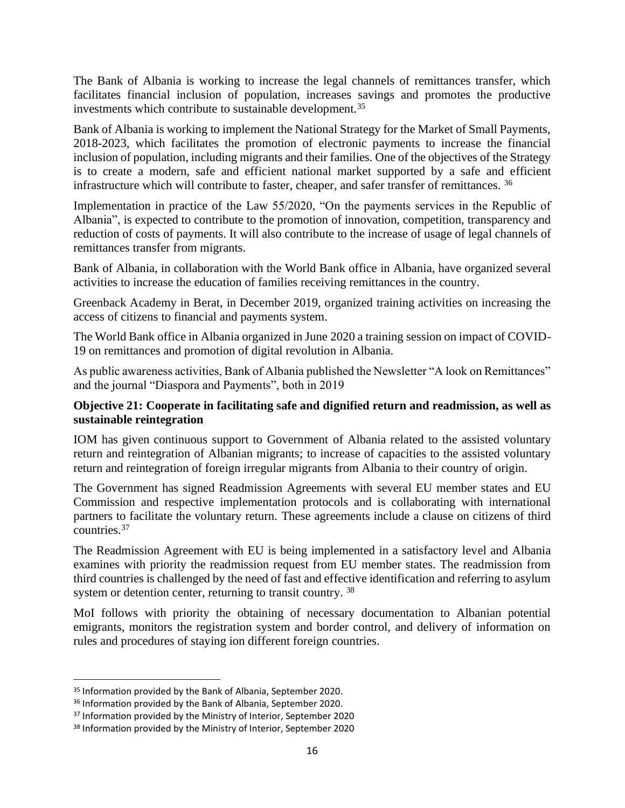The Bank of Albania is working to increase the legal channels of remittances transfer, which facilitates financial inclusion of population, increases savings and promotes the productive investments which contribute to sustainable development.<sup>35</sup>

Bank of Albania is working to implement the National Strategy for the Market of Small Payments, 2018-2023, which facilitates the promotion of electronic payments to increase the financial inclusion of population, including migrants and their families. One of the objectives of the Strategy is to create a modern, safe and efficient national market supported by a safe and efficient infrastructure which will contribute to faster, cheaper, and safer transfer of remittances. <sup>36</sup>

Implementation in practice of the Law 55/2020, "On the payments services in the Republic of Albania", is expected to contribute to the promotion of innovation, competition, transparency and reduction of costs of payments. It will also contribute to the increase of usage of legal channels of remittances transfer from migrants.

Bank of Albania, in collaboration with the World Bank office in Albania, have organized several activities to increase the education of families receiving remittances in the country.

Greenback Academy in Berat, in December 2019, organized training activities on increasing the access of citizens to financial and payments system.

The World Bank office in Albania organized in June 2020 a training session on impact of COVID-19 on remittances and promotion of digital revolution in Albania.

As public awareness activities, Bank of Albania published the Newsletter "A look on Remittances" and the journal "Diaspora and Payments", both in 2019

#### **Objective 21: Cooperate in facilitating safe and dignified return and readmission, as well as sustainable reintegration**

IOM has given continuous support to Government of Albania related to the assisted voluntary return and reintegration of Albanian migrants; to increase of capacities to the assisted voluntary return and reintegration of foreign irregular migrants from Albania to their country of origin.

The Government has signed Readmission Agreements with several EU member states and EU Commission and respective implementation protocols and is collaborating with international partners to facilitate the voluntary return. These agreements include a clause on citizens of third countries.<sup>37</sup>

The Readmission Agreement with EU is being implemented in a satisfactory level and Albania examines with priority the readmission request from EU member states. The readmission from third countries is challenged by the need of fast and effective identification and referring to asylum system or detention center, returning to transit country.<sup>38</sup>

MoI follows with priority the obtaining of necessary documentation to Albanian potential emigrants, monitors the registration system and border control, and delivery of information on rules and procedures of staying ion different foreign countries.

<sup>&</sup>lt;sup>35</sup> Information provided by the Bank of Albania, September 2020.

<sup>&</sup>lt;sup>36</sup> Information provided by the Bank of Albania, September 2020.

<sup>&</sup>lt;sup>37</sup> Information provided by the Ministry of Interior, September 2020

<sup>38</sup> Information provided by the Ministry of Interior, September 2020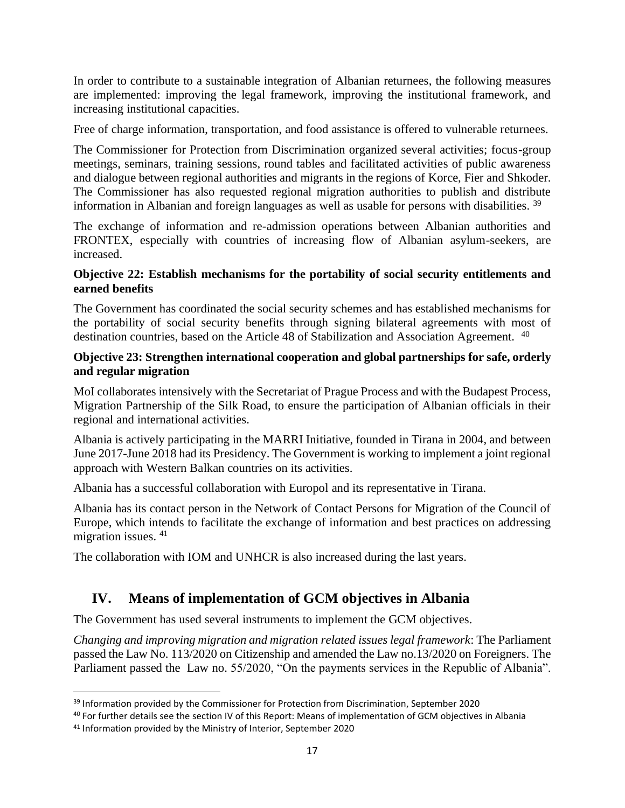In order to contribute to a sustainable integration of Albanian returnees, the following measures are implemented: improving the legal framework, improving the institutional framework, and increasing institutional capacities.

Free of charge information, transportation, and food assistance is offered to vulnerable returnees.

The Commissioner for Protection from Discrimination organized several activities; focus-group meetings, seminars, training sessions, round tables and facilitated activities of public awareness and dialogue between regional authorities and migrants in the regions of Korce, Fier and Shkoder. The Commissioner has also requested regional migration authorities to publish and distribute information in Albanian and foreign languages as well as usable for persons with disabilities. <sup>39</sup>

The exchange of information and re-admission operations between Albanian authorities and FRONTEX, especially with countries of increasing flow of Albanian asylum-seekers, are increased.

#### **Objective 22: Establish mechanisms for the portability of social security entitlements and earned benefits**

The Government has coordinated the social security schemes and has established mechanisms for the portability of social security benefits through signing bilateral agreements with most of destination countries, based on the Article 48 of Stabilization and Association Agreement. <sup>40</sup>

#### **Objective 23: Strengthen international cooperation and global partnerships for safe, orderly and regular migration**

MoI collaborates intensively with the Secretariat of Prague Process and with the Budapest Process, Migration Partnership of the Silk Road, to ensure the participation of Albanian officials in their regional and international activities.

Albania is actively participating in the MARRI Initiative, founded in Tirana in 2004, and between June 2017-June 2018 had its Presidency. The Government is working to implement a joint regional approach with Western Balkan countries on its activities.

Albania has a successful collaboration with Europol and its representative in Tirana.

Albania has its contact person in the Network of Contact Persons for Migration of the Council of Europe, which intends to facilitate the exchange of information and best practices on addressing migration issues. <sup>41</sup>

The collaboration with IOM and UNHCR is also increased during the last years.

## **IV. Means of implementation of GCM objectives in Albania**

The Government has used several instruments to implement the GCM objectives.

*Changing and improving migration and migration related issues legal framework*: The Parliament passed the Law No. 113/2020 on Citizenship and amended the Law no.13/2020 on Foreigners. The Parliament passed the Law no. 55/2020, "On the payments services in the Republic of Albania".

<sup>&</sup>lt;sup>39</sup> Information provided by the Commissioner for Protection from Discrimination, September 2020

<sup>40</sup> For further details see the section IV of this Report: Means of implementation of GCM objectives in Albania

<sup>&</sup>lt;sup>41</sup> Information provided by the Ministry of Interior, September 2020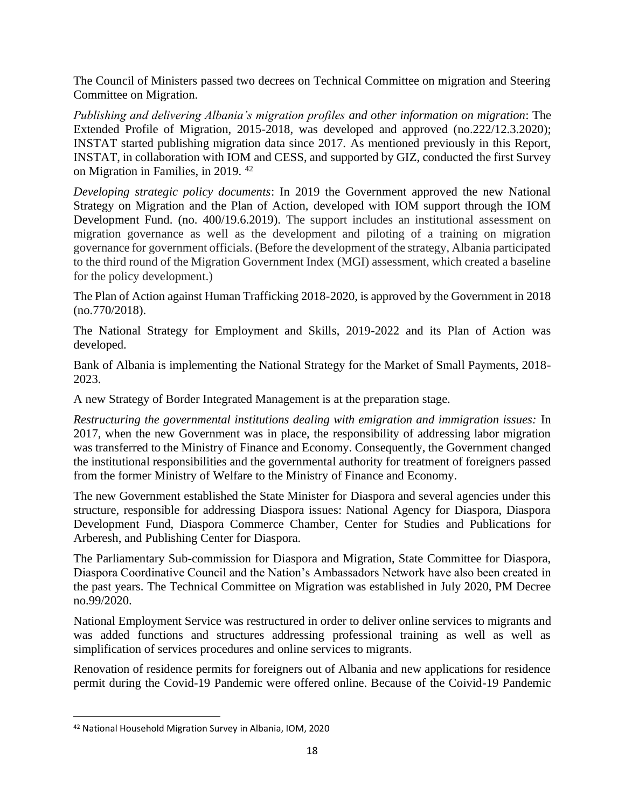The Council of Ministers passed two decrees on Technical Committee on migration and Steering Committee on Migration.

*Publishing and delivering Albania's migration profiles and other information on migration*: The Extended Profile of Migration, 2015-2018, was developed and approved (no.222/12.3.2020); INSTAT started publishing migration data since 2017. As mentioned previously in this Report, INSTAT, in collaboration with IOM and CESS, and supported by GIZ, conducted the first Survey on Migration in Families, in 2019. <sup>42</sup>

*Developing strategic policy documents*: In 2019 the Government approved the new National Strategy on Migration and the Plan of Action, developed with IOM support through the IOM Development Fund. (no. 400/19.6.2019). The support includes an institutional assessment on migration governance as well as the development and piloting of a training on migration governance for government officials. (Before the development of the strategy, Albania participated to the third round of the Migration Government Index (MGI) assessment, which created a baseline for the policy development.)

The Plan of Action against Human Trafficking 2018-2020, is approved by the Government in 2018 (no.770/2018).

The National Strategy for Employment and Skills, 2019-2022 and its Plan of Action was developed.

Bank of Albania is implementing the National Strategy for the Market of Small Payments, 2018- 2023.

A new Strategy of Border Integrated Management is at the preparation stage.

*Restructuring the governmental institutions dealing with emigration and immigration issues:* In 2017, when the new Government was in place, the responsibility of addressing labor migration was transferred to the Ministry of Finance and Economy. Consequently, the Government changed the institutional responsibilities and the governmental authority for treatment of foreigners passed from the former Ministry of Welfare to the Ministry of Finance and Economy.

The new Government established the State Minister for Diaspora and several agencies under this structure, responsible for addressing Diaspora issues: National Agency for Diaspora, Diaspora Development Fund, Diaspora Commerce Chamber, Center for Studies and Publications for Arberesh, and Publishing Center for Diaspora.

The Parliamentary Sub-commission for Diaspora and Migration, State Committee for Diaspora, Diaspora Coordinative Council and the Nation's Ambassadors Network have also been created in the past years. The Technical Committee on Migration was established in July 2020, PM Decree no.99/2020.

National Employment Service was restructured in order to deliver online services to migrants and was added functions and structures addressing professional training as well as well as simplification of services procedures and online services to migrants.

Renovation of residence permits for foreigners out of Albania and new applications for residence permit during the Covid-19 Pandemic were offered online. Because of the Coivid-19 Pandemic

<sup>42</sup> National Household Migration Survey in Albania, IOM, 2020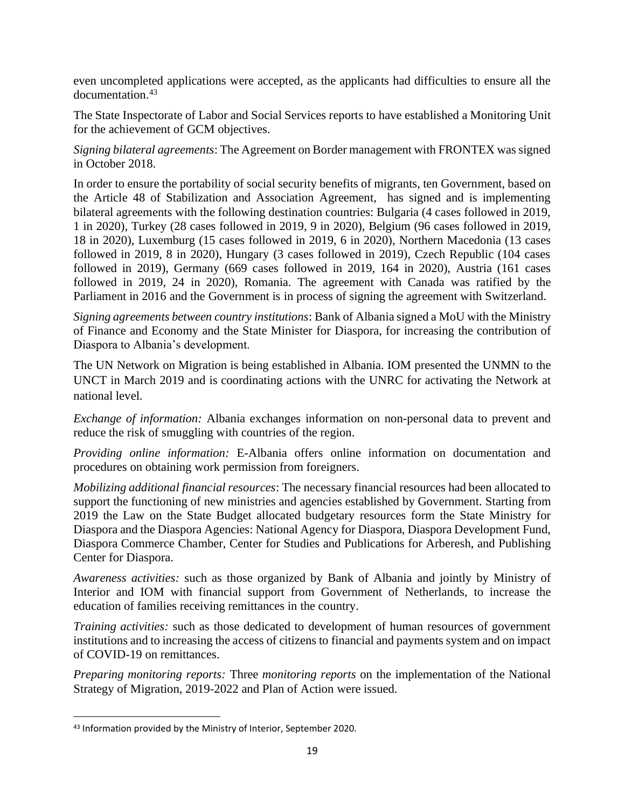even uncompleted applications were accepted, as the applicants had difficulties to ensure all the documentation.<sup>43</sup>

The State Inspectorate of Labor and Social Services reports to have established a Monitoring Unit for the achievement of GCM objectives.

*Signing bilateral agreements*: The Agreement on Border management with FRONTEX was signed in October 2018.

In order to ensure the portability of social security benefits of migrants, ten Government, based on the Article 48 of Stabilization and Association Agreement, has signed and is implementing bilateral agreements with the following destination countries: Bulgaria (4 cases followed in 2019, 1 in 2020), Turkey (28 cases followed in 2019, 9 in 2020), Belgium (96 cases followed in 2019, 18 in 2020), Luxemburg (15 cases followed in 2019, 6 in 2020), Northern Macedonia (13 cases followed in 2019, 8 in 2020), Hungary (3 cases followed in 2019), Czech Republic (104 cases followed in 2019), Germany (669 cases followed in 2019, 164 in 2020), Austria (161 cases followed in 2019, 24 in 2020), Romania. The agreement with Canada was ratified by the Parliament in 2016 and the Government is in process of signing the agreement with Switzerland.

*Signing agreements between country institutions*: Bank of Albania signed a MoU with the Ministry of Finance and Economy and the State Minister for Diaspora, for increasing the contribution of Diaspora to Albania's development.

The UN Network on Migration is being established in Albania. IOM presented the UNMN to the UNCT in March 2019 and is coordinating actions with the UNRC for activating the Network at national level.

*Exchange of information:* Albania exchanges information on non-personal data to prevent and reduce the risk of smuggling with countries of the region.

*Providing online information:* E-Albania offers online information on documentation and procedures on obtaining work permission from foreigners.

*Mobilizing additional financial resources*: The necessary financial resources had been allocated to support the functioning of new ministries and agencies established by Government. Starting from 2019 the Law on the State Budget allocated budgetary resources form the State Ministry for Diaspora and the Diaspora Agencies: National Agency for Diaspora, Diaspora Development Fund, Diaspora Commerce Chamber, Center for Studies and Publications for Arberesh, and Publishing Center for Diaspora.

*Awareness activities:* such as those organized by Bank of Albania and jointly by Ministry of Interior and IOM with financial support from Government of Netherlands, to increase the education of families receiving remittances in the country.

*Training activities:* such as those dedicated to development of human resources of government institutions and to increasing the access of citizens to financial and payments system and on impact of COVID-19 on remittances.

*Preparing monitoring reports:* Three *monitoring reports* on the implementation of the National Strategy of Migration, 2019-2022 and Plan of Action were issued.

<sup>43</sup> Information provided by the Ministry of Interior, September 2020.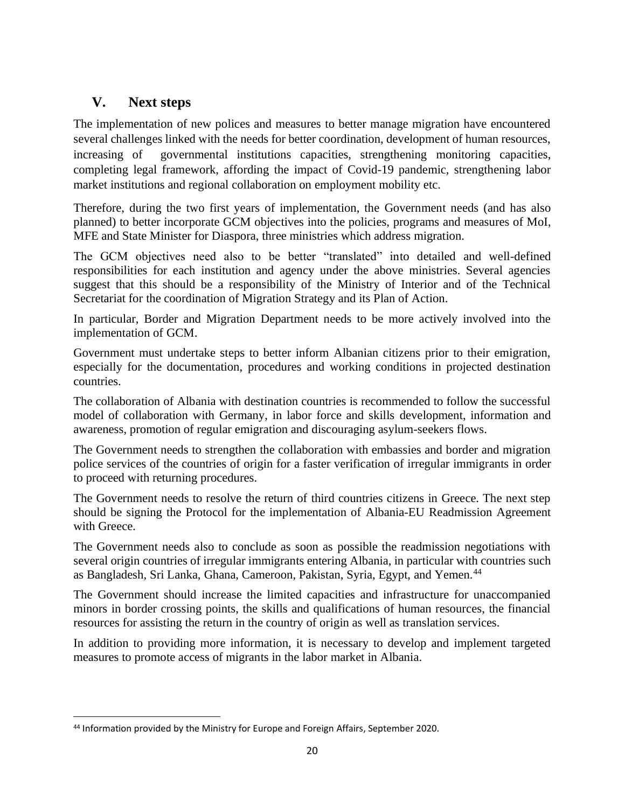# **V. Next steps**

The implementation of new polices and measures to better manage migration have encountered several challenges linked with the needs for better coordination, development of human resources, increasing of governmental institutions capacities, strengthening monitoring capacities, completing legal framework, affording the impact of Covid-19 pandemic, strengthening labor market institutions and regional collaboration on employment mobility etc.

Therefore, during the two first years of implementation, the Government needs (and has also planned) to better incorporate GCM objectives into the policies, programs and measures of MoI, MFE and State Minister for Diaspora, three ministries which address migration.

The GCM objectives need also to be better "translated" into detailed and well-defined responsibilities for each institution and agency under the above ministries. Several agencies suggest that this should be a responsibility of the Ministry of Interior and of the Technical Secretariat for the coordination of Migration Strategy and its Plan of Action.

In particular, Border and Migration Department needs to be more actively involved into the implementation of GCM.

Government must undertake steps to better inform Albanian citizens prior to their emigration, especially for the documentation, procedures and working conditions in projected destination countries.

The collaboration of Albania with destination countries is recommended to follow the successful model of collaboration with Germany, in labor force and skills development, information and awareness, promotion of regular emigration and discouraging asylum-seekers flows.

The Government needs to strengthen the collaboration with embassies and border and migration police services of the countries of origin for a faster verification of irregular immigrants in order to proceed with returning procedures.

The Government needs to resolve the return of third countries citizens in Greece. The next step should be signing the Protocol for the implementation of Albania-EU Readmission Agreement with Greece.

The Government needs also to conclude as soon as possible the readmission negotiations with several origin countries of irregular immigrants entering Albania, in particular with countries such as Bangladesh, Sri Lanka, Ghana, Cameroon, Pakistan, Syria, Egypt, and Yemen.<sup>44</sup>

The Government should increase the limited capacities and infrastructure for unaccompanied minors in border crossing points, the skills and qualifications of human resources, the financial resources for assisting the return in the country of origin as well as translation services.

In addition to providing more information, it is necessary to develop and implement targeted measures to promote access of migrants in the labor market in Albania.

<sup>44</sup> Information provided by the Ministry for Europe and Foreign Affairs, September 2020.